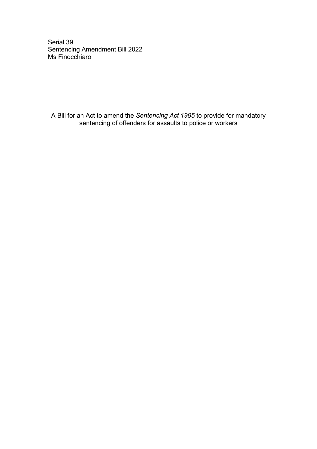Serial 39 Sentencing Amendment Bill 2022 Ms Finocchiaro

A Bill for an Act to amend the *Sentencing Act 1995* to provide for mandatory sentencing of offenders for assaults to police or workers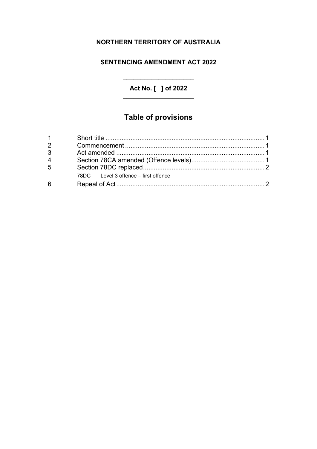# **NORTHERN TERRITORY OF AUSTRALIA**

# **SENTENCING AMENDMENT ACT 2022**

**Act No. [ ] of 2022** \_\_\_\_\_\_\_\_\_\_\_\_\_\_\_\_\_\_\_\_

\_\_\_\_\_\_\_\_\_\_\_\_\_\_\_\_\_\_\_\_

# **Table of provisions**

| 3              |                                      |  |
|----------------|--------------------------------------|--|
| $\overline{4}$ |                                      |  |
| 5              |                                      |  |
|                | 78DC Level 3 offence – first offence |  |
| 6              |                                      |  |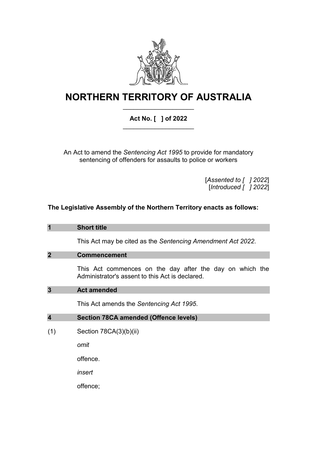

# **NORTHERN TERRITORY OF AUSTRALIA** \_\_\_\_\_\_\_\_\_\_\_\_\_\_\_\_\_\_\_\_

# **Act No. [ ] of 2022** \_\_\_\_\_\_\_\_\_\_\_\_\_\_\_\_\_\_\_\_

An Act to amend the *Sentencing Act 1995* to provide for mandatory sentencing of offenders for assaults to police or workers

> [*Assented to [ ] 2022*] [*Introduced [ ] 2022*]

# **The Legislative Assembly of the Northern Territory enacts as follows:**

|                         | <b>Short title</b>                                                                                          |
|-------------------------|-------------------------------------------------------------------------------------------------------------|
|                         | This Act may be cited as the Sentencing Amendment Act 2022.                                                 |
| $\overline{2}$          | <b>Commencement</b>                                                                                         |
|                         | This Act commences on the day after the day on which the<br>Administrator's assent to this Act is declared. |
| $\mathbf{3}$            | <b>Act amended</b>                                                                                          |
|                         | This Act amends the Sentencing Act 1995.                                                                    |
| $\overline{\mathbf{4}}$ | <b>Section 78CA amended (Offence levels)</b>                                                                |
| (1)                     | Section 78CA(3)(b)(ii)                                                                                      |
|                         | omit                                                                                                        |
|                         | offence.                                                                                                    |
|                         | insert                                                                                                      |
|                         | offence;                                                                                                    |
|                         |                                                                                                             |